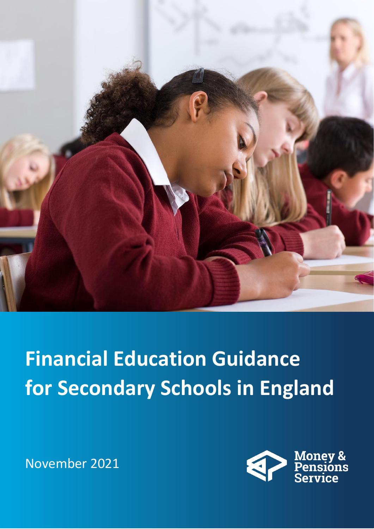

# **Financial Education Guidance for Secondary Schools in England**

November 2021

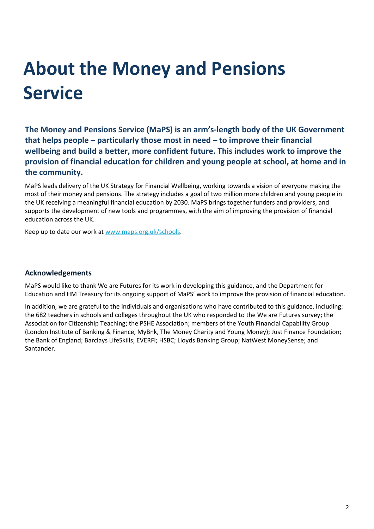# **About the Money and Pensions Service**

**The Money and Pensions Service (MaPS) is an arm's-length body of the UK Government that helps people – particularly those most in need – to improve their financial wellbeing and build a better, more confident future. This includes work to improve the provision of financial education for children and young people at school, at home and in the community.** 

MaPS leads delivery of the UK Strategy for Financial Wellbeing, working towards a vision of everyone making the most of their money and pensions. The strategy includes a goal of two million more children and young people in the UK receiving a meaningful financial education by 2030. MaPS brings together funders and providers, and supports the development of new tools and programmes, with the aim of improving the provision of financial education across the UK.

Keep up to date our work at [www.maps.org.uk/schools.](http://www.maps.org.uk/schools)

### **Acknowledgements**

MaPS would like to thank We are Futures for its work in developing this guidance, and the Department for Education and HM Treasury for its ongoing support of MaPS' work to improve the provision of financial education.

In addition, we are grateful to the individuals and organisations who have contributed to this guidance, including: the 682 teachers in schools and colleges throughout the UK who responded to the We are Futures survey; the Association for Citizenship Teaching; the PSHE Association; members of the Youth Financial Capability Group (London Institute of Banking & Finance, MyBnk, The Money Charity and Young Money); Just Finance Foundation; the Bank of England; Barclays LifeSkills; EVERFI; HSBC; Lloyds Banking Group; NatWest MoneySense; and Santander.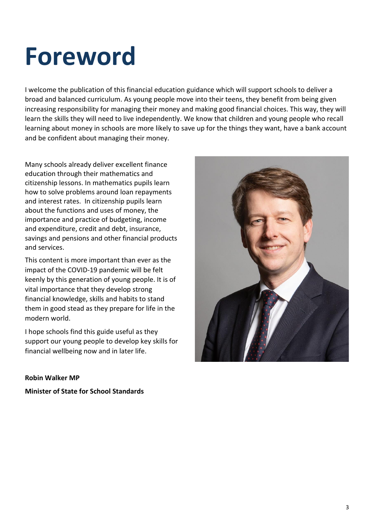# **Foreword**

I welcome the publication of this financial education guidance which will support schools to deliver a broad and balanced curriculum. As young people move into their teens, they benefit from being given increasing responsibility for managing their money and making good financial choices. This way, they will learn the skills they will need to live independently. We know that children and young people who recall learning about money in schools are more likely to save up for the things they want, have a bank account and be confident about managing their money.

Many schools already deliver excellent finance education through their mathematics and citizenship lessons. In mathematics pupils learn how to solve problems around loan repayments and interest rates. In citizenship pupils learn about the functions and uses of money, the importance and practice of budgeting, income and expenditure, credit and debt, insurance, savings and pensions and other financial products and services.

This content is more important than ever as the impact of the COVID-19 pandemic will be felt keenly by this generation of young people. It is of vital importance that they develop strong financial knowledge, skills and habits to stand them in good stead as they prepare for life in the modern world.

I hope schools find this guide useful as they support our young people to develop key skills for financial wellbeing now and in later life.



# **Robin Walker MP**

**Minister of State for School Standards**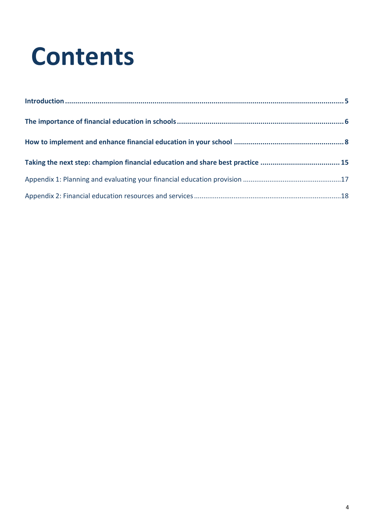# **Contents**

| Taking the next step: champion financial education and share best practice  15 |  |
|--------------------------------------------------------------------------------|--|
|                                                                                |  |
|                                                                                |  |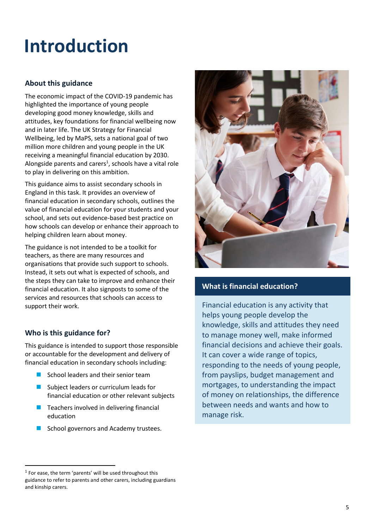# <span id="page-4-0"></span>**Introduction**

# **About this guidance**

The economic impact of the COVID-19 pandemic has highlighted the importance of young people developing good money knowledge, skills and attitudes, key foundations for financial wellbeing now and in later life. The UK Strategy for Financial Wellbeing, led by MaPS, sets a national goal of two million more children and young people in the UK receiving a meaningful financial education by 2030. Alongside parents and carers<sup>1</sup>, schools have a vital role to play in delivering on this ambition.

This guidance aims to assist secondary schools in England in this task. It provides an overview of financial education in secondary schools, outlines the value of financial education for your students and your school, and sets out evidence-based best practice on how schools can develop or enhance their approach to helping children learn about money.

The guidance is not intended to be a toolkit for teachers, as there are many resources and organisations that provide such support to schools. Instead, it sets out what is expected of schools, and the steps they can take to improve and enhance their financial education. It also signposts to some of the services and resources that schools can access to support their work.

# **Who is this guidance for?**

This guidance is intended to support those responsible or accountable for the development and delivery of financial education in secondary schools including:

- School leaders and their senior team
- Subject leaders or curriculum leads for financial education or other relevant subjects
- Teachers involved in delivering financial education
- School governors and Academy trustees.



# **What is financial education?**

Financial education is any activity that helps young people develop the knowledge, skills and attitudes they need to manage money well, make informed financial decisions and achieve their goals. It can cover a wide range of topics, responding to the needs of young people, from payslips, budget management and mortgages, to understanding the impact of money on relationships, the difference between needs and wants and how to manage risk.

 $<sup>1</sup>$  For ease, the term 'parents' will be used throughout this</sup> guidance to refer to parents and other carers, including guardians and kinship carers.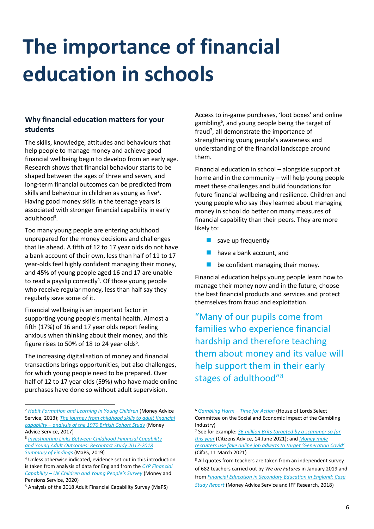# <span id="page-5-0"></span>**The importance of financial education in schools**

# **Why financial education matters for your students**

The skills, knowledge, attitudes and behaviours that help people to manage money and achieve good financial wellbeing begin to develop from an early age. Research shows that financial behaviour starts to be shaped between the ages of three and seven, and long-term financial outcomes can be predicted from skills and behaviour in children as young as five<sup>2</sup>. Having good money skills in the teenage years is associated with stronger financial capability in early adulthood<sup>3</sup>.

Too many young people are entering adulthood unprepared for the money decisions and challenges that lie ahead. A fifth of 12 to 17 year olds do not have a bank account of their own, less than half of 11 to 17 year-olds feel highly confident managing their money, and 45% of young people aged 16 and 17 are unable to read a payslip correctly<sup>4</sup>. Of those young people who receive regular money, less than half say they regularly save some of it.

Financial wellbeing is an important factor in supporting young people's mental health. Almost a fifth (17%) of 16 and 17 year olds report feeling anxious when thinking about their money, and this figure rises to 50% of 18 to 24 year olds<sup>5</sup>.

The increasing digitalisation of money and financial transactions brings opportunities, but also challenges, for which young people need to be prepared. Over half of 12 to 17 year olds (59%) who have made online purchases have done so without adult supervision.

Access to in-game purchases, 'loot boxes' and online gambling<sup>6</sup>, and young people being the target of fraud<sup>7</sup>, all demonstrate the importance of strengthening young people's awareness and understanding of the financial landscape around them.

Financial education in school – alongside support at home and in the community – will help young people meet these challenges and build foundations for future financial wellbeing and resilience. Children and young people who say they learned about managing money in school do better on many measures of financial capability than their peers. They are more likely to:

- save up frequently
- have a bank account, and
- $\blacksquare$  be confident managing their money.

Financial education helps young people learn how to manage their money now and in the future, choose the best financial products and services and protect themselves from fraud and exploitation.

"Many of our pupils come from families who experience financial hardship and therefore teaching them about money and its value will help support them in their early stages of adulthood"<sup>8</sup>

<sup>2</sup> *Habit Formation [and Learning in Young Children](https://www.moneyadviceservice.org.uk/en/corporate/habit-formation-and-learning-in-young-children)* (Money Advice Service, 2013); *The journey [from childhood skills to adult financial](https://masassets.blob.core.windows.net/cms/files/000/000/856/original/The_journey_from_childhood_skills_to_adult_financial_capability_%E2%80%93_analysis_of_BCS70.pdf)  capability – [analysis of the 1970 British Cohort Study](https://masassets.blob.core.windows.net/cms/files/000/000/856/original/The_journey_from_childhood_skills_to_adult_financial_capability_%E2%80%93_analysis_of_BCS70.pdf)* (Money Advice Service, 2017)

<sup>3</sup> *[Investigating Links Between Childhood Financial Capability](https://maps.org.uk/2019/07/02/investigating-links-between-childhood-financial-capability-and-young-adult-outcomes/) [and Young Adult Outcomes: Recontact Study 2017-2018](https://maps.org.uk/2019/07/02/investigating-links-between-childhood-financial-capability-and-young-adult-outcomes/) [Summary of Findings](https://maps.org.uk/2019/07/02/investigating-links-between-childhood-financial-capability-and-young-adult-outcomes/)* (MaPS, 2019)

<sup>4</sup> Unless otherwise indicated, evidence set out in this introduction is taken from analysis of data for England from the *[CYP Financial](https://moneyandpensionsservice.org.uk/2020/01/21/uk-children-and-young-peoples-survey-financial-capability-2019/)  Capability – [UK Children and Young People's Survey](https://moneyandpensionsservice.org.uk/2020/01/21/uk-children-and-young-peoples-survey-financial-capability-2019/)* (Money and Pensions Service, 2020)

<sup>5</sup> Analysis of the 2018 Adult Financial Capability Survey (MaPS)

<sup>6</sup> *[Gambling Harm](https://committees.parliament.uk/publications/1700/documents/16622/default/) – Time for Action* (House of Lords Select Committee on the Social and Economic Impact of the Gambling Industry)

<sup>7</sup> See for example: *[36 million Brits targeted by a scammer so far](https://www.citizensadvice.org.uk/about-us/about-us1/media/press-releases/36-million-brits-targeted-by-a-scammer-so-far-this-year/)  [this year](https://www.citizensadvice.org.uk/about-us/about-us1/media/press-releases/36-million-brits-targeted-by-a-scammer-so-far-this-year/)* (Citizens Advice, 14 June 2021); and *[Money mule](https://www.cifas.org.uk/newsroom/money-mules-target-generation-covid)  [recruiters use fake online job adverts to target 'Generation Covid'](https://www.cifas.org.uk/newsroom/money-mules-target-generation-covid)* (Cifas, 11 March 2021)

<sup>8</sup> All quotes from teachers are taken from an independent survey of 682 teachers carried out by *We are Futures* in January 2019 and from *[Financial Education in Secondary Education in England: Case](https://masassets.blob.core.windows.net/cms/files/000/001/111/original/Financial_education_in_secondary_schools_in_England_Nov_18_to_publish.pdf)  [Study Report](https://masassets.blob.core.windows.net/cms/files/000/001/111/original/Financial_education_in_secondary_schools_in_England_Nov_18_to_publish.pdf)* (Money Advice Service and IFF Research, 2018)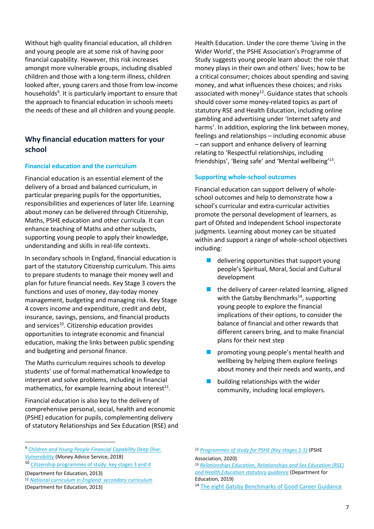Without high quality financial education, all children and young people are at some risk of having poor financial capability. However, this risk increases amongst more vulnerable groups, including disabled children and those with a long-term illness, children looked after, young carers and those from low-income households<sup>9</sup>. It is particularly important to ensure that the approach to financial education in schools meets the needs of these and all children and young people.

# **Why financial education matters for your school**

#### **Financial education and the curriculum**

Financial education is an essential element of the delivery of a broad and balanced curriculum, in particular preparing pupils for the opportunities, responsibilities and experiences of later life. Learning about money can be delivered through Citizenship, Maths, PSHE education and other curricula. It can enhance teaching of Maths and other subjects, supporting young people to apply their knowledge, understanding and skills in real-life contexts.

In secondary schools in England, financial education is part of the statutory Citizenship curriculum. This aims to prepare students to manage their money well and plan for future financial needs. Key Stage 3 covers the functions and uses of money, day-today money management, budgeting and managing risk. Key Stage 4 covers income and expenditure, credit and debt, insurance, savings, pensions, and financial products and services<sup>10</sup>. Citizenship education provides opportunities to integrate economic and financial education, making the links between public spending and budgeting and personal finance.

The Maths curriculum requires schools to develop students' use of formal mathematical knowledge to interpret and solve problems, including in financial mathematics, for example learning about interest $^{11}$ .

Financial education is also key to the delivery of comprehensive personal, social, health and economic (PSHE) education for pupils, complementing delivery of statutory Relationships and Sex Education (RSE) and Health Education. Under the core theme 'Living in the Wider World', the PSHE Association's Programme of Study suggests young people learn about: the role that money plays in their own and others' lives; how to be a critical consumer; choices about spending and saving money, and what influences these choices; and risks associated with money $^{12}$ . Guidance states that schools should cover some money-related topics as part of statutory RSE and Health Education, including online gambling and advertising under 'Internet safety and harms'. In addition, exploring the link between money, feelings and relationships – including economic abuse – can support and enhance delivery of learning relating to 'Respectful relationships, including friendships', 'Being safe' and 'Mental wellbeing'<sup>13</sup> .

#### **Supporting whole-school outcomes**

Financial education can support delivery of wholeschool outcomes and help to demonstrate how a school's curricular and extra-curricular activities promote the personal development of learners, as part of Ofsted and Independent School inspectorate judgments. Learning about money can be situated within and support a range of whole-school objectives including:

- $\blacksquare$  delivering opportunities that support young people's Spiritual, Moral, Social and Cultural development
- the delivery of career-related learning, aligned with the Gatsby Benchmarks<sup>14</sup>, supporting young people to explore the financial implications of their options, to consider the balance of financial and other rewards that different careers bring, and to make financial plans for their next step
- promoting young people's mental health and wellbeing by helping them explore feelings about money and their needs and wants, and
- building relationships with the wider community, including local employers.

Association, 2020)

Education, 2019)

<sup>9</sup> *[Children and Young People Financial Capability Deep Dive:](https://moneyandpensionsservice.org.uk/wp-content/uploads/2021/03/cyp-deep-dive-vulnerability.pdf) [Vulnerability](https://moneyandpensionsservice.org.uk/wp-content/uploads/2021/03/cyp-deep-dive-vulnerability.pdf)* (Money Advice Service, 2018)

<sup>10</sup> [Citizenship programmes of study: key stages 3 and 4](https://www.gov.uk/government/publications/national-curriculum-in-england-citizenship-programmes-of-study)

<sup>(</sup>Department for Education, 2013) <sup>11</sup> *[National curriculum in England: secondary curriculum](https://www.gov.uk/government/publications/national-curriculum-in-england-secondary-curriculum)* (Department for Education, 2013)

<sup>12</sup> *[Programmes of study for PSHE \(Key stages 1-5\)](https://www.pshe-association.org.uk/curriculum-and-resources/resources/programme-study-pshe-education-key-stages-1%E2%80%935)* (PSHE

<sup>13</sup> *[Relationships Education, Relationships and Sex Education \(RSE\)](https://www.gov.uk/government/publications/relationships-education-relationships-and-sex-education-rse-and-health-education)  [and Health Education statutory guidance](https://www.gov.uk/government/publications/relationships-education-relationships-and-sex-education-rse-and-health-education)* (Department for

<sup>14</sup> [The eight Gatsby Benchmarks of Good Career Guidance](https://www.gatsby.org.uk/education/focus-areas/good-career-guidance)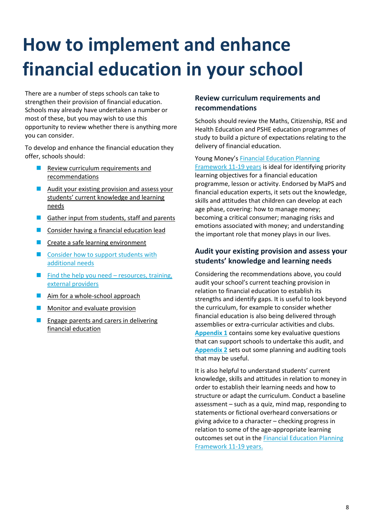# <span id="page-7-0"></span>**How to implement and enhance financial education in your school**

There are a number of steps schools can take to strengthen their provision of financial education. Schools may already have undertaken a number or most of these, but you may wish to use this opportunity to review whether there is anything more you can consider.

To develop and enhance the financial education they offer, schools should:

- Review curriculum requirements and [recommendations](#page-7-1)
- Audit your existing provision and assess your [students' current knowledge and learning](#page-7-2)  [needs](#page-7-2)
- [Gather input from students, staff and parents](#page-8-0)
- [Consider having a financial education lead](#page-8-1)
- [Create a safe learning environment](#page-9-0)
- [Consider how to support students](#page-9-1) with [additional needs](#page-9-1)
- $\blacksquare$  [Find the help you need](#page-10-0)  resources, training, [external providers](#page-10-0)
- [Aim for a whole-school approach](#page-11-0)
- [Monitor and evaluate provision](#page-13-0)
- <span id="page-7-1"></span>■ [Engage parents and carers](#page-13-1) in delivering [financial education](#page-13-1)

# **Review curriculum requirements and recommendations**

Schools should review the Maths, Citizenship, RSE and Health Education and PSHE education programmes of study to build a picture of expectations relating to the delivery of financial education.

Young Money's Financial Education Planning [Framework 11-19 years](https://www.young-enterprise.org.uk/teachers-hub/financial-education/resources-hub/financial-education-planning-frameworks/) is ideal for identifying priority learning objectives for a financial education programme, lesson or activity. Endorsed by MaPS and financial education experts, it sets out the knowledge, skills and attitudes that children can develop at each age phase, covering: how to manage money; becoming a critical consumer; managing risks and emotions associated with money; and understanding the important role that money plays in our lives.

# <span id="page-7-2"></span>**Audit your existing provision and assess your students' knowledge and learning needs**

Considering the recommendations above, you could audit your school's current teaching provision in relation to financial education to establish its strengths and identify gaps. It is useful to look beyond the curriculum, for example to consider whether financial education is also being delivered through assemblies or extra-curricular activities and clubs. **[Appendix 1](#page-16-0)** contains some key evaluative questions that can support schools to undertake this audit, and **[Appendix 2](#page-17-0)** sets out some planning and auditing tools that may be useful.

It is also helpful to understand students' current knowledge, skills and attitudes in relation to money in order to establish their learning needs and how to structure or adapt the curriculum. Conduct a baseline assessment – such as a quiz, mind map, responding to statements or fictional overheard conversations or giving advice to a character – checking progress in relation to some of the age-appropriate learning outcomes set out in the [Financial Education Planning](https://www.young-enterprise.org.uk/teachers-hub/financial-education/resources-hub/financial-education-planning-frameworks/)  [Framework 11-19](https://www.young-enterprise.org.uk/teachers-hub/financial-education/resources-hub/financial-education-planning-frameworks/) years.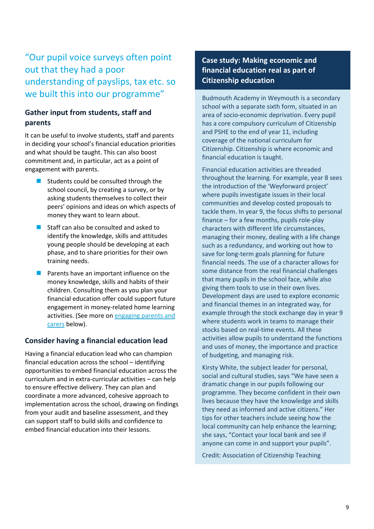# "Our pupil voice surveys often point out that they had a poor understanding of payslips, tax etc. so we built this into our programme"

# <span id="page-8-0"></span>**Gather input from students, staff and parents**

It can be useful to involve students, staff and parents in deciding your school's financial education priorities and what should be taught. This can also boost commitment and, in particular, act as a point of engagement with parents.

- Students could be consulted through the school council, by creating a survey, or by asking students themselves to collect their peers' opinions and ideas on which aspects of money they want to learn about.
- $\blacksquare$  Staff can also be consulted and asked to identify the knowledge, skills and attitudes young people should be developing at each phase, and to share priorities for their own training needs.
- Parents have an important influence on the money knowledge, skills and habits of their children. Consulting them as you plan your financial education offer could support future engagement in money-related home learning activities. (See more on engaging parents and [carers](#page-13-1) below).

# <span id="page-8-1"></span>**Consider having a financial education lead**

Having a financial education lead who can champion financial education across the school – identifying opportunities to embed financial education across the curriculum and in extra-curricular activities – can help to ensure effective delivery. They can plan and coordinate a more advanced, cohesive approach to implementation across the school, drawing on findings from your audit and baseline assessment, and they can support staff to build skills and confidence to embed financial education into their lessons.

**Case study: Making economic and financial education real as part of Citizenship education**

Budmouth Academy in Weymouth is a secondary school with a separate sixth form, situated in an area of socio-economic deprivation. Every pupil has a core compulsory curriculum of Citizenship and PSHE to the end of year 11, including coverage of the national curriculum for Citizenship. Citizenship is where economic and financial education is taught.

Financial education activities are threaded throughout the learning. For example, year 8 sees the introduction of the 'Weyforward project' where pupils investigate issues in their local communities and develop costed proposals to tackle them. In year 9, the focus shifts to personal finance – for a few months, pupils role-play characters with different life circumstances, managing their money, dealing with a life change such as a redundancy, and working out how to save for long-term goals planning for future financial needs. The use of a character allows for some distance from the real financial challenges that many pupils in the school face, while also giving them tools to use in their own lives. Development days are used to explore economic and financial themes in an integrated way, for example through the stock exchange day in year 9 where students work in teams to manage their stocks based on real-time events. All these activities allow pupils to understand the functions and uses of money, the importance and practice of budgeting, and managing risk.

Kirsty White, the subject leader for personal, social and cultural studies, says "We have seen a dramatic change in our pupils following our programme. They become confident in their own lives because they have the knowledge and skills they need as informed and active citizens." Her tips for other teachers include seeing how the local community can help enhance the learning; she says, "Contact your local bank and see if anyone can come in and support your pupils".

Credit: Association of Citizenship Teaching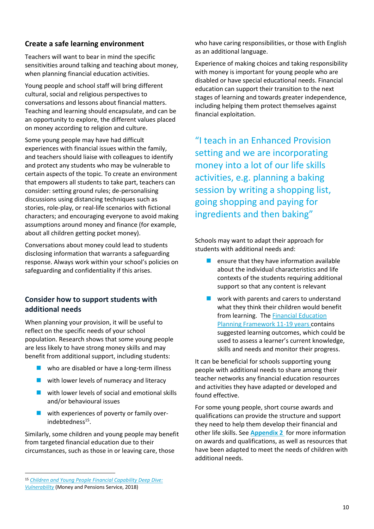# <span id="page-9-0"></span>**Create a safe learning environment**

Teachers will want to bear in mind the specific sensitivities around talking and teaching about money, when planning financial education activities.

Young people and school staff will bring different cultural, social and religious perspectives to conversations and lessons about financial matters. Teaching and learning should encapsulate, and can be an opportunity to explore, the different values placed on money according to religion and culture.

Some young people may have had difficult experiences with financial issues within the family, and teachers should liaise with colleagues to identify and protect any students who may be vulnerable to certain aspects of the topic. To create an environment that empowers all students to take part, teachers can consider: setting ground rules; de-personalising discussions using distancing techniques such as stories, role-play, or real-life scenarios with fictional characters; and encouraging everyone to avoid making assumptions around money and finance (for example, about all children getting pocket money).

Conversations about money could lead to students disclosing information that warrants a safeguarding response. Always work within your school's policies on safeguarding and confidentiality if this arises.

# <span id="page-9-1"></span>**Consider how to support students with additional needs**

When planning your provision, it will be useful to reflect on the specific needs of your school population. Research shows that some young people are less likely to have strong money skills and may benefit from additional support, including students:

- $\blacksquare$  who are disabled or have a long-term illness
- with lower levels of numeracy and literacy
- $\blacksquare$  with lower levels of social and emotional skills and/or behavioural issues
- with experiences of poverty or family overindebtedness<sup>15</sup>.

Similarly, some children and young people may benefit from targeted financial education due to their circumstances, such as those in or leaving care, those

who have caring responsibilities, or those with English as an additional language.

Experience of making choices and taking responsibility with money is important for young people who are disabled or have special educational needs. Financial education can support their transition to the next stages of learning and towards greater independence, including helping them protect themselves against financial exploitation.

"I teach in an Enhanced Provision setting and we are incorporating money into a lot of our life skills activities, e.g. planning a baking session by writing a shopping list, going shopping and paying for ingredients and then baking"

Schools may want to adapt their approach for students with additional needs and:

- ensure that they have information available about the individual characteristics and life contexts of the students requiring additional support so that any content is relevant
- work with parents and carers to understand what they think their children would benefit from learning. The **Financial Education** [Planning Framework 11-19 years](https://www.young-enterprise.org.uk/teachers-hub/financial-education/resources-hub/financial-education-planning-frameworks/) contains suggested learning outcomes, which could be used to assess a learner's current knowledge, skills and needs and monitor their progress.

It can be beneficial for schools supporting young people with additional needs to share among their teacher networks any financial education resources and activities they have adapted or developed and found effective.

For some young people, short course awards and qualifications can provide the structure and support they need to help them develop their financial and other life skills. See **[Appendix 2](#page-17-0)** for more information on awards and qualifications, as well as resources that have been adapted to meet the needs of children with additional needs.

<sup>15</sup> *[Children and Young People Financial Capability Deep Dive:](https://www.moneyadviceservice.org.uk/en/corporate/children-young-people-and-financial-capability-commissioning-plan--contributing-analysis-reports)* 

*[Vulnerability](https://www.moneyadviceservice.org.uk/en/corporate/children-young-people-and-financial-capability-commissioning-plan--contributing-analysis-reports)* (Money and Pensions Service, 2018)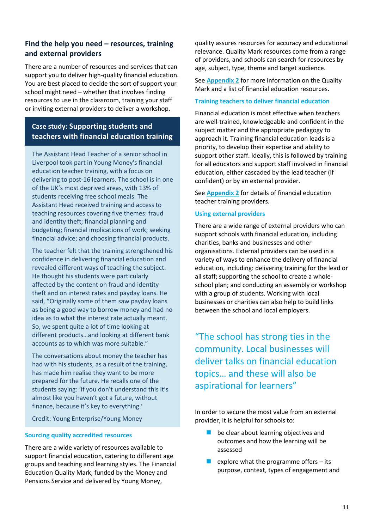# <span id="page-10-0"></span>**Find the help you need – resources, training and external providers**

There are a number of resources and services that can support you to deliver high-quality financial education. You are best placed to decide the sort of support your school might need – whether that involves finding resources to use in the classroom, training your staff or inviting external providers to deliver a workshop.

# **Case study: Supporting students and teachers with financial education training**

The Assistant Head Teacher of a senior school in Liverpool took part in Young Money's financial education teacher training, with a focus on delivering to post-16 learners. The school is in one of the UK's most deprived areas, with 13% of students receiving free school meals. The Assistant Head received training and access to teaching resources covering five themes: fraud and identity theft; financial planning and budgeting; financial implications of work; seeking financial advice; and choosing financial products.

The teacher felt that the training strengthened his confidence in delivering financial education and revealed different ways of teaching the subject. He thought his students were particularly affected by the content on fraud and identity theft and on interest rates and payday loans. He said, "Originally some of them saw payday loans as being a good way to borrow money and had no idea as to what the interest rate actually meant. So, we spent quite a lot of time looking at different products…and looking at different bank accounts as to which was more suitable."

The conversations about money the teacher has had with his students, as a result of the training, has made him realise they want to be more prepared for the future. He recalls one of the students saying: 'if you don't understand this it's almost like you haven't got a future, without finance, because it's key to everything.'

Credit: Young Enterprise/Young Money

#### **Sourcing quality accredited resources**

There are a wide variety of resources available to support financial education, catering to different age groups and teaching and learning styles. The Financial Education Quality Mark, funded by the Money and Pensions Service and delivered by Young Money,

quality assures resources for accuracy and educational relevance. Quality Mark resources come from a range of providers, and schools can search for resources by age, subject, type, theme and target audience.

See **[Appendix 2](#page-17-0)** for more information on the Quality Mark and a list of financial education resources.

#### **Training teachers to deliver financial education**

Financial education is most effective when teachers are well-trained, knowledgeable and confident in the subject matter and the appropriate pedagogy to approach it. Training financial education leads is a priority, to develop their expertise and ability to support other staff. Ideally, this is followed by training for all educators and support staff involved in financial education, either cascaded by the lead teacher (if confident) or by an external provider.

See **[Appendix 2](#page-17-0)** for details of financial education teacher training providers.

#### **Using external providers**

There are a wide range of external providers who can support schools with financial education, including charities, banks and businesses and other organisations. External providers can be used in a variety of ways to enhance the delivery of financial education, including: delivering training for the lead or all staff; supporting the school to create a wholeschool plan; and conducting an assembly or workshop with a group of students. Working with local businesses or charities can also help to build links between the school and local employers.

"The school has strong ties in the community. Local businesses will deliver talks on financial education topics… and these will also be aspirational for learners"

In order to secure the most value from an external provider, it is helpful for schools to:

- be clear about learning objectives and outcomes and how the learning will be assessed
- explore what the programme offers  $-$  its purpose, context, types of engagement and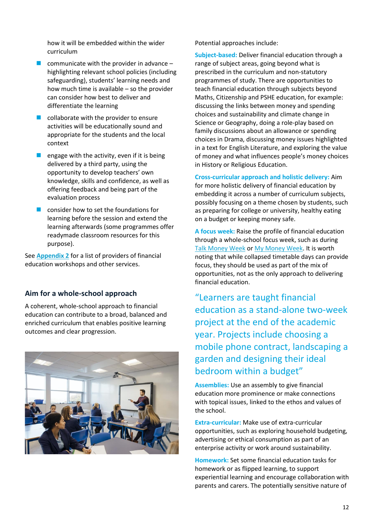how it will be embedded within the wider curriculum

- $\blacksquare$  communicate with the provider in advance highlighting relevant school policies (including safeguarding), students' learning needs and how much time is available – so the provider can consider how best to deliver and differentiate the learning
- $\blacksquare$  collaborate with the provider to ensure activities will be educationally sound and appropriate for the students and the local context
- $\blacksquare$  engage with the activity, even if it is being delivered by a third party, using the opportunity to develop teachers' own knowledge, skills and confidence, as well as offering feedback and being part of the evaluation process
- consider how to set the foundations for learning before the session and extend the learning afterwards (some programmes offer readymade classroom resources for this purpose).

See **[Appendix 2](#page-17-0)** for a list of providers of financial education workshops and other services.

### <span id="page-11-0"></span>**Aim for a whole-school approach**

A coherent, whole-school approach to financial education can contribute to a broad, balanced and enriched curriculum that enables positive learning outcomes and clear progression.



Potential approaches include:

**Subject-based:** Deliver financial education through a range of subject areas, going beyond what is prescribed in the curriculum and non-statutory programmes of study. There are opportunities to teach financial education through subjects beyond Maths, Citizenship and PSHE education, for example: discussing the links between money and spending choices and sustainability and climate change in Science or Geography, doing a role-play based on family discussions about an allowance or spending choices in Drama, discussing money issues highlighted in a text for English Literature, and exploring the value of money and what influences people's money choices in History or Religious Education.

**Cross-curricular approach and holistic delivery:** Aim for more holistic delivery of financial education by embedding it across a number of curriculum subjects, possibly focusing on a theme chosen by students, such as preparing for college or university, healthy eating on a budget or keeping money safe.

**A focus week:** Raise the profile of financial education through a whole-school focus week, such as during [Talk Money Week](https://www.maps.org.uk/talk-money-week/) o[r My Money Week.](https://www.young-enterprise.org.uk/teachers-hub/financial-education/financial-education-programmes/my-money-week/) It is worth noting that while collapsed timetable days can provide focus, they should be used as part of the mix of opportunities, not as the only approach to delivering financial education.

"Learners are taught financial education as a stand-alone two-week project at the end of the academic year. Projects include choosing a mobile phone contract, landscaping a garden and designing their ideal bedroom within a budget"

**Assemblies:** Use an assembly to give financial education more prominence or make connections with topical issues, linked to the ethos and values of the school.

**Extra-curricular:** Make use of extra-curricular opportunities, such as exploring household budgeting, advertising or ethical consumption as part of an enterprise activity or work around sustainability.

**Homework:** Set some financial education tasks for homework or as flipped learning, to support experiential learning and encourage collaboration with parents and carers. The potentially sensitive nature of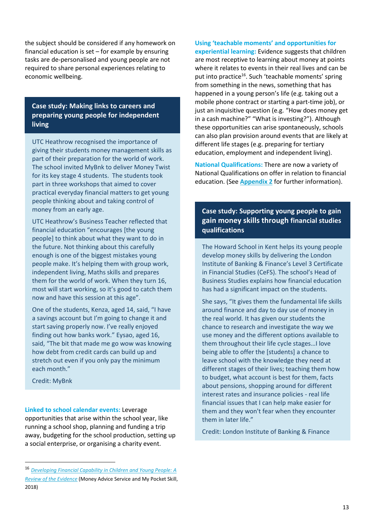the subject should be considered if any homework on financial education is set – for example by ensuring tasks are de-personalised and young people are not required to share personal experiences relating to economic wellbeing.

# **Case study: Making links to careers and preparing young people for independent living**

UTC Heathrow recognised the importance of giving their students money management skills as part of their preparation for the world of work. The school invited MyBnk to deliver Money Twist for its key stage 4 students. The students took part in three workshops that aimed to cover practical everyday financial matters to get young people thinking about and taking control of money from an early age.

UTC Heathrow's Business Teacher reflected that financial education "encourages [the young people] to think about what they want to do in the future. Not thinking about this carefully enough is one of the biggest mistakes young people make. It's helping them with group work, independent living, Maths skills and prepares them for the world of work. When they turn 16, most will start working, so it's good to catch them now and have this session at this age".

One of the students, Kenza, aged 14, said, "I have a savings account but I'm going to change it and start saving properly now. I've really enjoyed finding out how banks work." Eysao, aged 16, said, "The bit that made me go wow was knowing how debt from credit cards can build up and stretch out even if you only pay the minimum each month."

Credit: MyBnk

**Linked to school calendar events:** Leverage opportunities that arise within the school year, like running a school shop, planning and funding a trip away, budgeting for the school production, setting up a social enterprise, or organising a charity event.

# **Using 'teachable moments' and opportunities for**

**experiential learning:** Evidence suggests that children are most receptive to learning about money at points where it relates to events in their real lives and can be put into practice<sup>16</sup>. Such 'teachable moments' spring from something in the news, something that has happened in a young person's life (e.g. taking out a mobile phone contract or starting a part-time job), or just an inquisitive question (e.g. "How does money get in a cash machine?" "What is investing?"). Although these opportunities can arise spontaneously, schools can also plan provision around events that are likely at different life stages (e.g. preparing for tertiary education, employment and independent living).

**National Qualifications:** There are now a variety of National Qualifications on offer in relation to financial education. (See **[Appendix 2](#page-17-0)** for further information).

# **Case study: Supporting young people to gain gain money skills through financial studies qualifications**

The Howard School in Kent helps its young people develop money skills by delivering the London Institute of Banking & Finance's Level 3 Certificate in Financial Studies (CeFS). The school's Head of Business Studies explains how financial education has had a significant impact on the students.

She says, "It gives them the fundamental life skills around finance and day to day use of money in the real world. It has given our students the chance to research and investigate the way we use money and the different options available to them throughout their life cycle stages…I love being able to offer the [students] a chance to leave school with the knowledge they need at different stages of their lives; teaching them how to budget, what account is best for them, facts about pensions, shopping around for different interest rates and insurance policies - real life financial issues that I can help make easier for them and they won't fear when they encounter them in later life."

Credit: London Institute of Banking & Finance

<sup>16</sup> *[Developing Financial Capability in Children and Young People: A](https://masassets.blob.core.windows.net/cms/files/000/001/076/original/Developing_FinCap_in_CYP_–__evidence_analysis_v2.pdf)  [Review of the Evidence](https://masassets.blob.core.windows.net/cms/files/000/001/076/original/Developing_FinCap_in_CYP_–__evidence_analysis_v2.pdf)* (Money Advice Service and My Pocket Skill, 2018)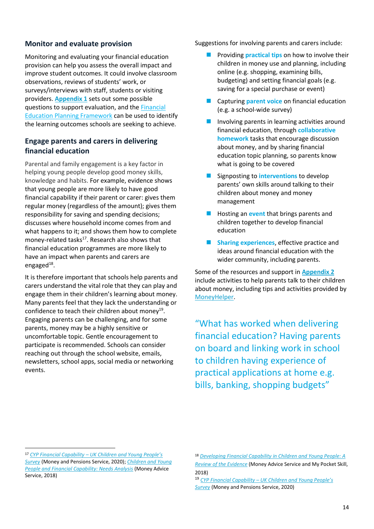### <span id="page-13-0"></span>**Monitor and evaluate provision**

Monitoring and evaluating your financial education provision can help you assess the overall impact and improve student outcomes. It could involve classroom observations, reviews of students' work, or surveys/interviews with staff, students or visiting providers. **[Appendix 1](#page-16-0)** sets out some possible questions to support evaluation, and the [Financial](https://www.young-enterprise.org.uk/teachers-hub/financial-education/resources-hub/financial-education-planning-frameworks/)  [Education Planning Framework](https://www.young-enterprise.org.uk/teachers-hub/financial-education/resources-hub/financial-education-planning-frameworks/) can be used to identify the learning outcomes schools are seeking to achieve.

# <span id="page-13-1"></span>**Engage parents and carers in delivering financial education**

Parental and family engagement is a key factor in helping young people develop good money skills, knowledge and habits. For example, evidence shows that young people are more likely to have good financial capability if their parent or carer: gives them regular money (regardless of the amount); gives them responsibility for saving and spending decisions; discusses where household income comes from and what happens to it; and shows them how to complete money-related tasks<sup>17</sup>. Research also shows that financial education programmes are more likely to have an impact when parents and carers are engaged<sup>18</sup>.

It is therefore important that schools help parents and carers understand the vital role that they can play and engage them in their children's learning about money. Many parents feel that they lack the understanding or confidence to teach their children about money $^{19}$ . Engaging parents can be challenging, and for some parents, money may be a highly sensitive or uncomfortable topic. Gentle encouragement to participate is recommended. Schools can consider reaching out through the school website, emails, newsletters, school apps, social media or networking events.

Suggestions for involving parents and carers include:

- ◼ Providing **practical tips** on how to involve their children in money use and planning, including online (e.g. shopping, examining bills, budgeting) and setting financial goals (e.g. saving for a special purchase or event)
- ◼ Capturing **parent voice** on financial education (e.g. a school-wide survey)
- Involving parents in learning activities around financial education, through **collaborative homework** tasks that encourage discussion about money, and by sharing financial education topic planning, so parents know what is going to be covered
- Signposting to **interventions** to develop parents' own skills around talking to their children about money and money management
- ◼ Hosting an **event** that brings parents and children together to develop financial education
- **Sharing experiences**, effective practice and ideas around financial education with the wider community, including parents.

Some of the resources and support in **[Appendix 2](#page-17-0)** include activities to help parents talk to their children about money, including tips and activities provided by [MoneyHelper.](https://www.moneyhelper.org.uk/en/family-and-care/talk-money/how-to-talk-to-your-children-about-money)

"What has worked when delivering financial education? Having parents on board and linking work in school to children having experience of practical applications at home e.g. bills, banking, shopping budgets"

<sup>17</sup> *CYP Financial Capability – [UK Children and Young People's](https://moneyandpensionsservice.org.uk/2020/01/21/uk-children-and-young-peoples-survey-financial-capability-2019/)  [Survey](https://moneyandpensionsservice.org.uk/2020/01/21/uk-children-and-young-peoples-survey-financial-capability-2019/)* (Money and Pensions Service, 2020); *[Children and Young](https://masassets.blob.core.windows.net/cms/files/000/000/962/original/CYP_Needs_Analysis_final.PDF)  [People and Financial Capability: Needs Analysis](https://masassets.blob.core.windows.net/cms/files/000/000/962/original/CYP_Needs_Analysis_final.PDF)* (Money Advice Service, 2018)

<sup>18</sup> *[Developing Financial Capability in Children and Young People: A](https://masassets.blob.core.windows.net/cms/files/000/001/076/original/Developing_FinCap_in_CYP_–__evidence_analysis_v2.pdf)  [Review of the Evidence](https://masassets.blob.core.windows.net/cms/files/000/001/076/original/Developing_FinCap_in_CYP_–__evidence_analysis_v2.pdf)* (Money Advice Service and My Pocket Skill, 2018)

<sup>19</sup> *CYP Financial Capability – [UK Children and Young People's](https://moneyandpensionsservice.org.uk/2020/01/21/uk-children-and-young-peoples-survey-financial-capability-2019/)  [Survey](https://moneyandpensionsservice.org.uk/2020/01/21/uk-children-and-young-peoples-survey-financial-capability-2019/)* (Money and Pensions Service, 2020)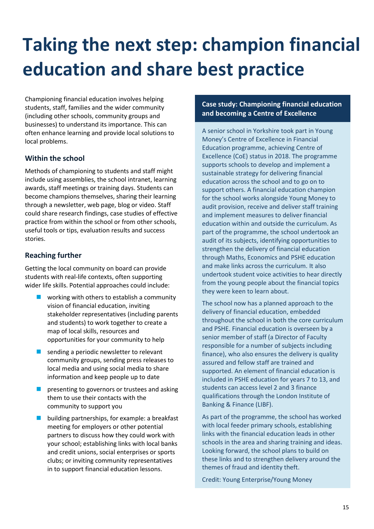# <span id="page-14-0"></span>**Taking the next step: champion financial education and share best practice**

Championing financial education involves helping students, staff, families and the wider community (including other schools, community groups and businesses) to understand its importance. This can often enhance learning and provide local solutions to local problems.

# **Within the school**

Methods of championing to students and staff might include using assemblies, the school intranet, learning awards, staff meetings or training days. Students can become champions themselves, sharing their learning through a newsletter, web page, blog or video. Staff could share research findings, case studies of effective practice from within the school or from other schools, useful tools or tips, evaluation results and success stories.

# **Reaching further**

Getting the local community on board can provide students with real-life contexts, often supporting wider life skills. Potential approaches could include:

- working with others to establish a community vision of financial education, inviting stakeholder representatives (including parents and students) to work together to create a map of local skills, resources and opportunities for your community to help
- $\blacksquare$  sending a periodic newsletter to relevant community groups, sending press releases to local media and using social media to share information and keep people up to date
- $\blacksquare$  presenting to governors or trustees and asking them to use their contacts with the community to support you
- building partnerships, for example: a breakfast meeting for employers or other potential partners to discuss how they could work with your school; establishing links with local banks and credit unions, social enterprises or sports clubs; or inviting community representatives in to support financial education lessons.

# **Case study: Championing financial education and becoming a Centre of Excellence**

A senior school in Yorkshire took part in Young Money's Centre of Excellence in Financial Education programme, achieving Centre of Excellence (CoE) status in 2018. The programme supports schools to develop and implement a sustainable strategy for delivering financial education across the school and to go on to support others. A financial education champion for the school works alongside Young Money to audit provision, receive and deliver staff training and implement measures to deliver financial education within and outside the curriculum. As part of the programme, the school undertook an audit of its subjects, identifying opportunities to strengthen the delivery of financial education through Maths, Economics and PSHE education and make links across the curriculum. It also undertook student voice activities to hear directly from the young people about the financial topics they were keen to learn about.

The school now has a planned approach to the delivery of financial education, embedded throughout the school in both the core curriculum and PSHE. Financial education is overseen by a senior member of staff (a Director of Faculty responsible for a number of subjects including finance), who also ensures the delivery is quality assured and fellow staff are trained and supported. An element of financial education is included in PSHE education for years 7 to 13, and students can access level 2 and 3 finance qualifications through the London Institute of Banking & Finance (LIBF).

As part of the programme, the school has worked with local feeder primary schools, establishing links with the financial education leads in other schools in the area and sharing training and ideas. Looking forward, the school plans to build on these links and to strengthen delivery around the themes of fraud and identity theft.

Credit: Young Enterprise/Young Money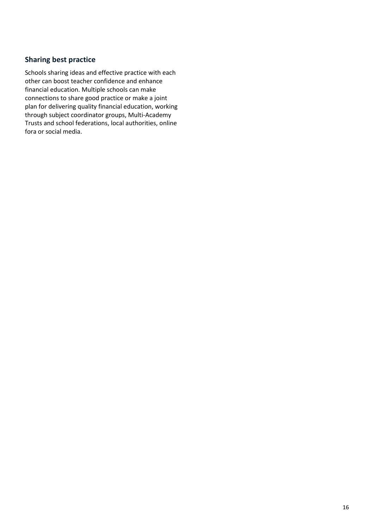# **Sharing best practice**

Schools sharing ideas and effective practice with each other can boost teacher confidence and enhance financial education. Multiple schools can make connections to share good practice or make a joint plan for delivering quality financial education, working through subject coordinator groups, Multi-Academy Trusts and school federations, local authorities, online fora or social media.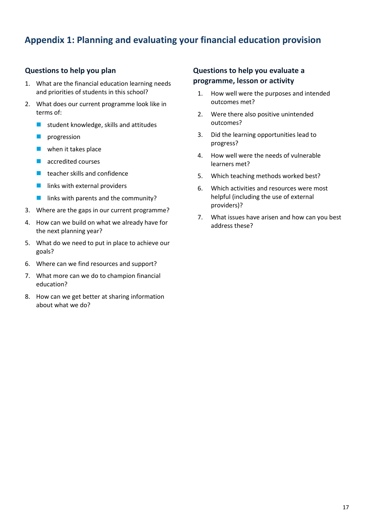# <span id="page-16-0"></span>**Appendix 1: Planning and evaluating your financial education provision**

# **Questions to help you plan**

- 1. What are the financial education learning needs and priorities of students in this school?
- 2. What does our current programme look like in terms of:
	- student knowledge, skills and attitudes
	- **u** progression
	- $\blacksquare$  when it takes place
	- accredited courses
	- $\blacksquare$  teacher skills and confidence
	- $\blacksquare$  links with external providers
	- $\blacksquare$  links with parents and the community?
- 3. Where are the gaps in our current programme?
- 4. How can we build on what we already have for the next planning year?
- 5. What do we need to put in place to achieve our goals?
- 6. Where can we find resources and support?
- 7. What more can we do to champion financial education?
- 8. How can we get better at sharing information about what we do?

# **Questions to help you evaluate a programme, lesson or activity**

- 1. How well were the purposes and intended outcomes met?
- 2. Were there also positive unintended outcomes?
- 3. Did the learning opportunities lead to progress?
- 4. How well were the needs of vulnerable learners met?
- 5. Which teaching methods worked best?
- 6. Which activities and resources were most helpful (including the use of external providers)?
- 7. What issues have arisen and how can you best address these?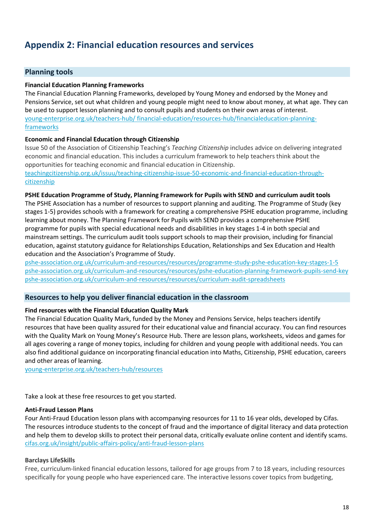# <span id="page-17-0"></span>**Appendix 2: Financial education resources and services**

### **Planning tools**

#### **Financial Education Planning Frameworks**

The Financial Education Planning Frameworks, developed by Young Money and endorsed by the Money and Pensions Service, set out what children and young people might need to know about money, at what age. They can be used to support lesson planning and to consult pupils and students on their own areas of interest. [young-enterprise.org.uk/teachers-hub/ financial-education/resources-hub/financialeducation-planning](https://www.young-enterprise.org.uk/teachers-hub/financial-education/resources-hub/financial-education-planning-frameworks/)**frameworks** 

#### **Economic and Financial Education through Citizenship**

Issue 50 of the Association of Citizenship Teaching's *Teaching Citizenship* includes advice on delivering integrated economic and financial education. This includes a curriculum framework to help teachers think about the opportunities for teaching economic and financial education in Citizenship.

[teachingcitizenship.org.uk/issuu/teaching-citizenship-issue-50-economic-and-financial-education-through](https://www.teachingcitizenship.org.uk/issuu/teaching-citizenship-issue-50-economic-and-financial-education-through-citizenship)[citizenship](https://www.teachingcitizenship.org.uk/issuu/teaching-citizenship-issue-50-economic-and-financial-education-through-citizenship)

#### **PSHE Education Programme of Study, Planning Framework for Pupils with SEND and curriculum audit tools**

The PSHE Association has a number of resources to support planning and auditing. The Programme of Study (key stages 1-5) provides schools with a framework for creating a comprehensive PSHE education programme, including learning about money. The Planning Framework for Pupils with SEND provides a comprehensive PSHE programme for pupils with special educational needs and disabilities in key stages 1-4 in both special and mainstream settings. The curriculum audit tools support schools to map their provision, including for financial education, against statutory guidance for Relationships Education, Relationships and Sex Education and Health education and the Association's [Programme of Study.](https://www.pshe-association.org.uk/curriculum-and-resources/resources/programme-study-pshe-education-key-stages-1%E2%80%935)

[pshe-association.org.uk/curriculum-and-resources/resources/programme-study-pshe-education-key-stages-1-5](https://pshe-association.org.uk/curriculum-and-resources/resources/programme-study-pshe-education-key-stages-1%E2%80%935) [pshe-association.org.uk/curriculum-and-resources/resources/pshe-education-planning-framework-pupils-send-key](https://pshe-association.org.uk/curriculum-and-resources/resources/pshe-education-planning-framework-pupils-send-key) [pshe-association.org.uk/curriculum-and-resources/resources/curriculum-audit-spreadsheets](http://www.pshe-association.org.uk/curriculum-and-resources/resources/curriculum-audit-spreadsheets)

#### **Resources to help you deliver financial education in the classroom**

#### **Find resources with the Financial Education Quality Mark**

The Financial Education Quality Mark, funded by the Money and Pensions Service, helps teachers identify resources that have been quality assured for their educational value and financial accuracy. You can find resources with the Quality Mark on Young Money's Resource Hub. There are lesson plans, worksheets, videos and games for all ages covering a range of money topics, including for children and young people with additional needs. You can also find additional guidance on incorporating financial education into Maths, Citizenship, PSHE education, careers and other areas of learning.

[young-enterprise.org.uk/teachers-hub/resources](http://www.young-enterprise.org.uk/teachers-hub/resources) 

Take a look at these free resources to get you started.

#### **Anti-Fraud Lesson Plans**

Four Anti-Fraud Education lesson plans with accompanying resources for 11 to 16 year olds, developed by Cifas. The resources introduce students to the concept of fraud and the importance of digital literacy and data protection and help them to develop skills to protect their personal data, critically evaluate online content and identify scams. [cifas.org.uk/insight/public-affairs-policy/anti-fraud-lesson-plans](https://www.cifas.org.uk/insight/public-affairs-policy/anti-fraud-lesson-plans)

#### **Barclays LifeSkills**

Free, curriculum-linked financial education lessons, tailored for age groups from 7 to 18 years, including resources specifically for young people who have experienced care. The interactive lessons cover topics from budgeting,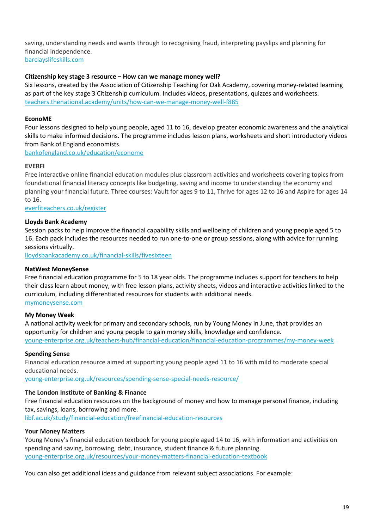saving, understanding needs and wants through to recognising fraud, interpreting payslips and planning for financial independence. [barclayslifeskills.com](http://www.barclayslifeskills.com/) 

#### **Citizenship key stage 3 resource – How can we manage money well?**

Six lessons, created by the Association of Citizenship Teaching for Oak Academy, covering money-related learning as part of the key stage 3 Citizenship curriculum. Includes videos, presentations, quizzes and worksheets. [teachers.thenational.academy/units/how-can-we-manage-money-well-f885](https://teachers.thenational.academy/units/how-can-we-manage-money-well-f885)

### **EconoME**

Four lessons designed to help young people, aged 11 to 16, develop greater economic awareness and the analytical skills to make informed decisions. The programme includes lesson plans, worksheets and short introductory videos from Bank of England economists.

[bankofengland.co.uk/education/econome](http://www.bankofengland.co.uk/education/econome) 

#### **EVERFI**

Free interactive online financial education modules plus classroom activities and worksheets covering topics from foundational financial literacy concepts like budgeting, saving and income to understanding the economy and planning your financial future. Three courses: Vault for ages 9 to 11, Thrive for ages 12 to 16 and Aspire for ages 14 to 16.

[everfiteachers.co.uk/register](https://platform.everfi.net/new_registration?role=teacher) 

#### **Lloyds Bank Academy**

Session packs to help improve the financial capability skills and wellbeing of children and young people aged 5 to 16. Each pack includes the resources needed to run one-to-one or group sessions, along with advice for running sessions virtually.

[lloydsbankacademy.co.uk/financial-skills/fivesixteen](https://www.lloydsbankacademy.co.uk/financial-skills/five-sixteen/)

#### **NatWest MoneySense**

Free financial education programme for 5 to 18 year olds. The programme includes support for teachers to help their class learn about money, with free lesson plans, activity sheets, videos and interactive activities linked to the curriculum, including differentiated resources for students with additional needs. [mymoneysense.com](https://natwest.mymoneysense.com/home/)

#### **My Money Week**

A national activity week for primary and secondary schools, run by Young Money in June, that provides an opportunity for children and young people to gain money skills, knowledge and confidence. [young-enterprise.org.uk/teachers-hub/financial-education/financial-education-programmes/my-money-week](https://www.young-enterprise.org.uk/teachers-hub/financial-education/financial-education-programmes/my-money-week/)

#### **Spending Sense**

Financial education resource aimed at supporting young people aged 11 to 16 with mild to moderate special educational needs.

[young-enterprise.org.uk/resources/spending-sense-special-needs-resource/](http://www.young-enterprise.org.uk/resources/spending-sense-special-needs-resource/)

#### **The London Institute of Banking & Finance**

Free financial education resources on the background of money and how to manage personal finance, including tax, savings, loans, borrowing and more. [libf.ac.uk/study/financial-education/freefinancial-education-resources](https://www.libf.ac.uk/study/financial-education/free-financial-education-resources) 

#### **Your Money Matters**

Young Money's financial education textbook for young people aged 14 to 16, with information and activities on spending and saving, borrowing, debt, insurance, student finance & future planning. [young-enterprise.org.uk/resources/your-money-matters-financial-education-textbook](http://www.young-enterprise.org.uk/resources/your-money-matters-financial-education-textbook/)

You can also get additional ideas and guidance from relevant subject associations. For example: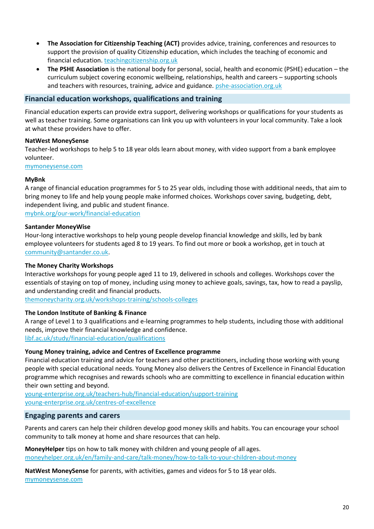- **The Association for Citizenship Teaching (ACT)** provides advice, training, conferences and resources to support the provision of quality Citizenship education, which includes the teaching of economic and financial education. [teachingcitizenship.org.uk](http://www.teachingcitizenship.org.uk/)
- **The PSHE Association** is the national body for personal, social, health and economic (PSHE) education the curriculum subject covering economic wellbeing, relationships, health and careers – supporting schools and teachers with resources, training, advice and guidance. pshe-association.org.uk

### **Financial education workshops, qualifications and training**

Financial education experts can provide extra support, delivering workshops or qualifications for your students as well as teacher training. Some organisations can link you up with volunteers in your local community. Take a look at what these providers have to offer.

#### **NatWest MoneySense**

Teacher-led workshops to help 5 to 18 year olds learn about money, with video support from a bank employee volunteer.

#### [mymoneysense.com](https://natwest.mymoneysense.com/home/)

#### **MyBnk**

A range of financial education programmes for 5 to 25 year olds, including those with additional needs, that aim to bring money to life and help young people make informed choices. Workshops cover saving, budgeting, debt, independent living, and public and student finance.

[mybnk.org/our-work/financial-education](http://www.mybnk.org/our-work/financial-education)

#### **Santander MoneyWise**

Hour-long interactive workshops to help young people develop financial knowledge and skills, led by bank employee volunteers for students aged 8 to 19 years. To find out more or book a workshop, get in touch at [community@santander.co.uk.](mailto:community@santander.co.uk)

#### **The Money Charity Workshops**

Interactive workshops for young people aged 11 to 19, delivered in schools and colleges. Workshops cover the essentials of staying on top of money, including using money to achieve goals, savings, tax, how to read a payslip, and understanding credit and financial products.

[themoneycharity.org.uk/workshops-training/schools-colleges](http://www.themoneycharity.org.uk/workshops-training/schools-colleges)

### **The London Institute of Banking & Finance**

A range of Level 1 to 3 qualifications and e-learning programmes to help students, including those with additional needs, improve their financial knowledge and confidence.

[libf.ac.uk/study/financial-education/qualifications](http://www.libf.ac.uk/study/financial-education/qualifications)

### **Young Money training, advice and Centres of Excellence programme**

Financial education training and advice for teachers and other practitioners, including those working with young people with special educational needs. Young Money also delivers the Centres of Excellence in Financial Education programme which recognises and rewards schools who are committing to excellence in financial education within their own setting and beyond.

[young-enterprise.org.uk/teachers-hub/financial-education/support-training](http://www.young-enterprise.org.uk/teachers-hub/financial-education/support-training) [young-enterprise.org.uk/centres-of-excellence](https://www.young-enterprise.org.uk/centres-of-excellence/)

### **Engaging parents and carers**

Parents and carers can help their children develop good money skills and habits. You can encourage your school community to talk money at home and share resources that can help.

**MoneyHelper** tips on how to talk money with children and young people of all ages. [moneyhelper.org.uk/en/family-and-care/talk-money/how-to-talk-to-your-children-about-money](https://www.moneyhelper.org.uk/en/family-and-care/talk-money/how-to-talk-to-your-children-about-money)

**NatWest MoneySense** for parents, with activities, games and videos for 5 to 18 year olds. [mymoneysense.com](https://natwest.mymoneysense.com/home/)